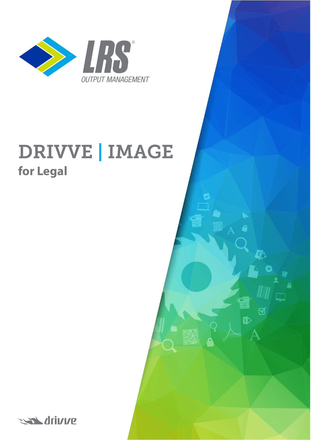

# **DRIVVE | IMAGE for Legal**

 $\boldsymbol{\nabla}$ 

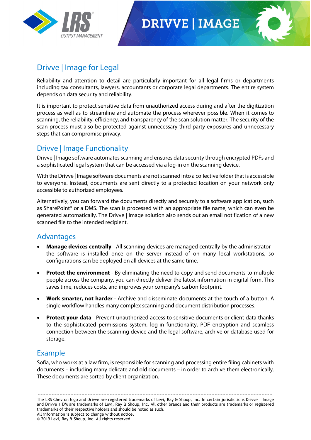

## **DRIVVE | IMAGE**



### Drivve | Image for Legal

Reliability and attention to detail are particularly important for all legal firms or departments including tax consultants, lawyers, accountants or corporate legal departments. The entire system depends on data security and reliability.

It is important to protect sensitive data from unauthorized access during and after the digitization process as well as to streamline and automate the process wherever possible. When it comes to scanning, the reliability, efficiency, and transparency of the scan solution matter. The security of the scan process must also be protected against unnecessary third-party exposures and unnecessary steps that can compromise privacy.

#### Drivve | Image Functionality

Drivve | Image software automates scanning and ensures data security through encrypted PDFs and a sophisticated legal system that can be accessed via a log-in on the scanning device.

With the Drivve | Image software documents are not scanned into a collective folder that is accessible to everyone. Instead, documents are sent directly to a protected location on your network only accessible to authorized employees.

Alternatively, you can forward the documents directly and securely to a software application, such as SharePoint® or a DMS. The scan is processed with an appropriate file name, which can even be generated automatically. The Drivve | Image solution also sends out an email notification of a new scanned file to the intended recipient.

#### Advantages

- **Manage devices centrally** All scanning devices are managed centrally by the administrator the software is installed once on the server instead of on many local workstations, so configurations can be deployed on all devices at the same time.
- **Protect the environment** By eliminating the need to copy and send documents to multiple people across the company, you can directly deliver the latest information in digital form. This saves time, reduces costs, and improves your company's carbon footprint.
- **Work smarter, not harder** Archive and disseminate documents at the touch of a button. A single workflow handles many complex scanning and document distribution processes.
- **Protect your data** Prevent unauthorized access to sensitive documents or client data thanks to the sophisticated permissions system, log-in functionality, PDF encryption and seamless connection between the scanning device and the legal software, archive or database used for storage.

#### Example

Sofia, who works at a law firm, is responsible for scanning and processing entire filing cabinets with documents – including many delicate and old documents – in order to archive them electronically. These documents are sorted by client organization.

------------------------------------------------------------------------------------------------------------------------------------------------------ The LRS Chevron logo and Drivve are registered trademarks of Levi, Ray & Shoup, Inc. In certain jurisdictions Drivve | Image and Drivve | DM are trademarks of Levi, Ray & Shoup, Inc. All other brands and their products are trademarks or registered trademarks of their respective holders and should be noted as such. All information is subject to change without notice.

© 2019 Levi, Ray & Shoup, Inc. All rights reserved.